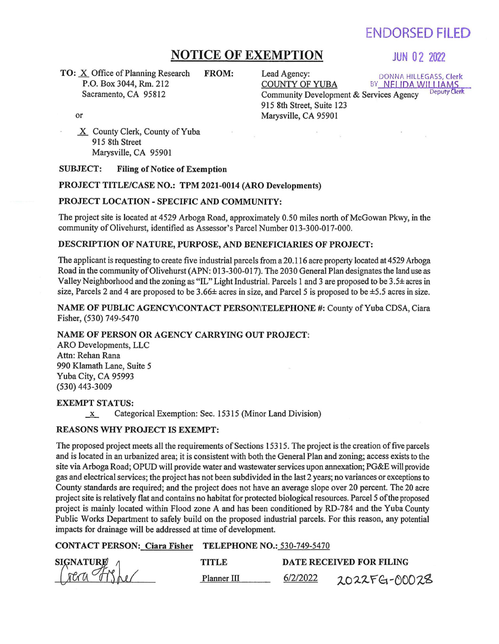# ENDORSED FILED

# **NOTICE OF EXEMPTION** JUN 02 2022

**TO:** X Office of Planning Research FROM: Lead Agency: DONNA HILLEGASS, Clerk<br>P.O. Box 3044, Rm. 212 COUNTY OF YUBA BY NELIDA WILLIAMS P.O. Box 3044, Rm. 212 Sacramento, CA 9S812

Community Development & Services Agency 91S 8th Street, Suite 123 Marysville, CA 95901

or

X County Clerk, County of Yuba 91S 8th Street Marysville, CA 95901

#### SUBJECT: Filing of Notice of Exemption

#### PROJECT TITLE/CASE NO.: TPM 2021-0014 (ARO Developments)

#### PROJECT LOCATION- SPECIFIC AND COMMUNITY:

The project site is located at 4S29 Arboga Road, approximately O.SO miles north of McGowan Pkwy, in the community of Olivehurst, identified as Assessor's Parcel Number 013-300-017-000.

### DESCRIPTION OF NATURE, PURPOSE, AND BENEFICIARIES OF PROJECT:

The applicant is requesting to create five industrial parcels from a 20.116 acre property located at 4S29 Arboga Road in the community of Olivehurst (APN: 013-300-017). The 2030 General Plan designates the land use as Valley Neighborhood and the zoning as "IL" Light Industrial. Parcels 1 and 3 are proposed to be 3.S± acres in size, Parcels 2 and 4 are proposed to be 3.66± acres in size, and Parcel 5 is proposed to be ±5.5 acres in size.

NAME OF PUBLIC AGENCY\CONTACT PERSON\TELEPHONE #: County of Yuba CDSA, Ciara Fisher, (S30) 749-S470

### NAME OF PERSON OR AGENCY CARRYING OUT PROJECT:

ARO Developments, LLC Attn: Rehan Rana 990 Klamath Lane, Suite *S*  Yuba City, CA 9S993 (S30) 443-3009

#### EXEMPT STATUS:

 $\underline{x}$  Categorical Exemption: Sec. 15315 (Minor Land Division)

#### REASONS WHY PROJECT IS EXEMPT:

The proposed project meets all the requirements of Sections 1S31S. The project is the creation of five parcels and is located in an urbanized area; it is consistent with both the General Plan and zoning; access exists to the site via Arboga Road; OPUD will provide water and wastewater services upon annexation; PG&E will provide gas and electrical services; the project has not been subdivided in the last 2 years; no variances or exceptions to County standards are required; and the project does not have an average slope over 20 percent. The 20 acre project site is relatively flat and contains no habitat for protected biological resources. Parcel 5 of the proposed project is mainly located within Flood zone A and has been conditioned by RD-784 and the Yuba County Public Works Department to safely build on the proposed industrial parcels. For this reason, any potential impacts for drainage will be addressed at time of development.

## CONTACT PERSON: Ciara Fisher TELEPHONE NO.: S30-749-S470

| <b>SIGNATURE</b><br>$n$ e $\tau$ | TITI E      | DATE RECEIVED FOR FILING |              |
|----------------------------------|-------------|--------------------------|--------------|
|                                  | Planner III | 6/2/2022                 | 2022FG-00028 |

BY NELIDA WILLIAMS